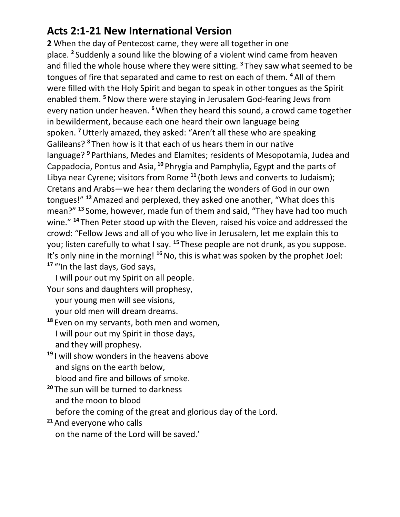## **Acts 2:1-21 New International Version**

**2** When the day of Pentecost came, they were all together in one place. **<sup>2</sup>** Suddenly a sound like the blowing of a violent wind came from heaven and filled the whole house where they were sitting. **<sup>3</sup>** They saw what seemed to be tongues of fire that separated and came to rest on each of them. **<sup>4</sup>** All of them were filled with the Holy Spirit and began to speak in other tongues as the Spirit enabled them. **<sup>5</sup>**Now there were staying in Jerusalem God-fearing Jews from every nation under heaven. **<sup>6</sup>**When they heard this sound, a crowd came together in bewilderment, because each one heard their own language being spoken. **<sup>7</sup>**Utterly amazed, they asked: "Aren't all these who are speaking Galileans? **<sup>8</sup>** Then how is it that each of us hears them in our native language? **<sup>9</sup>** Parthians, Medes and Elamites; residents of Mesopotamia, Judea and Cappadocia, Pontus and Asia, **<sup>10</sup>** Phrygia and Pamphylia, Egypt and the parts of Libya near Cyrene; visitors from Rome **<sup>11</sup>** (both Jews and converts to Judaism); Cretans and Arabs—we hear them declaring the wonders of God in our own tongues!" **<sup>12</sup>** Amazed and perplexed, they asked one another, "What does this mean?" **<sup>13</sup>** Some, however, made fun of them and said, "They have had too much wine." **<sup>14</sup>** Then Peter stood up with the Eleven, raised his voice and addressed the crowd: "Fellow Jews and all of you who live in Jerusalem, let me explain this to you; listen carefully to what I say. **<sup>15</sup>** These people are not drunk, as you suppose. It's only nine in the morning! **<sup>16</sup>**No, this is what was spoken by the prophet Joel: **<sup>17</sup>** "'In the last days, God says,

 I will pour out my Spirit on all people. Your sons and daughters will prophesy,

your young men will see visions,

your old men will dream dreams.

**<sup>18</sup>** Even on my servants, both men and women, I will pour out my Spirit in those days, and they will prophesy.

- **<sup>19</sup>** I will show wonders in the heavens above and signs on the earth below, blood and fire and billows of smoke.
- **<sup>20</sup>** The sun will be turned to darkness and the moon to blood

before the coming of the great and glorious day of the Lord.

**<sup>21</sup>** And everyone who calls on the name of the Lord will be saved.'